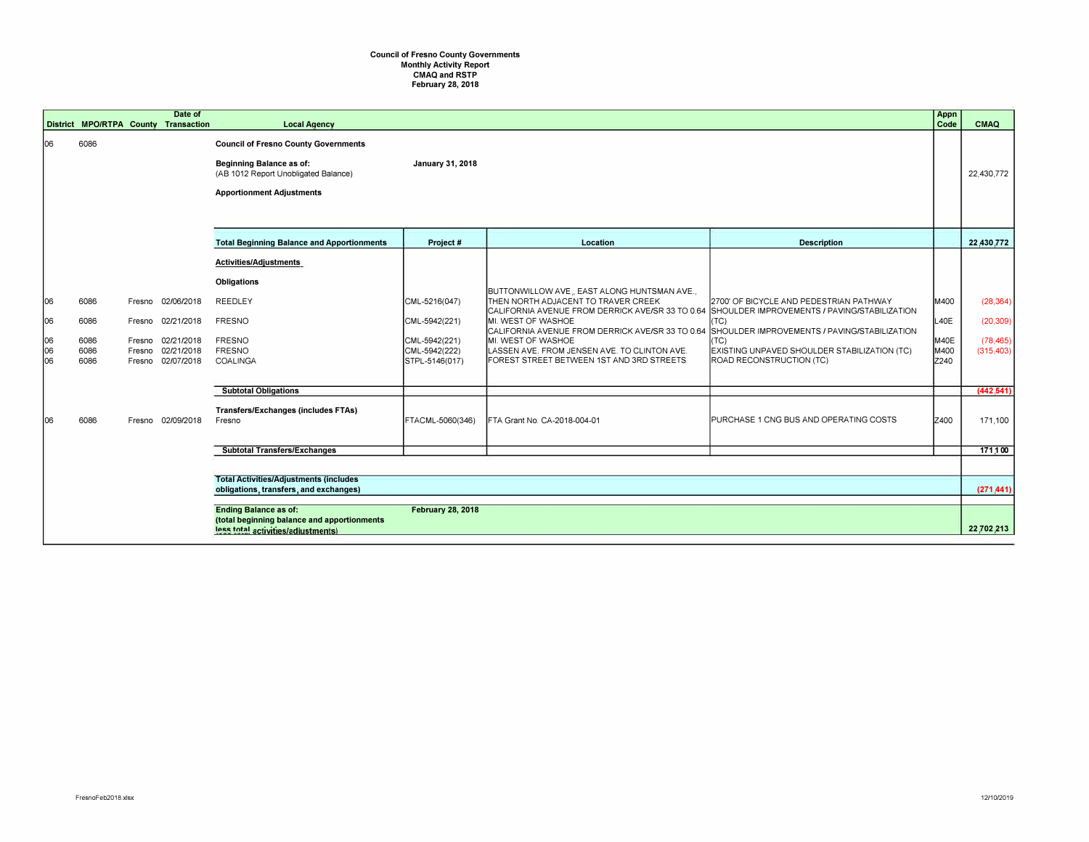## Council of Fresno County Governments<br>Monthly Activity Report<br>CMAQ and RSTP<br>February 28, 2018

|                                                                                                                                               |                                                                                          |                            | Date of                                |                                                                                                                                                            |                                                  |                                                                                                                                                                     |                                                                                                                                  | Appn                 |                         |
|-----------------------------------------------------------------------------------------------------------------------------------------------|------------------------------------------------------------------------------------------|----------------------------|----------------------------------------|------------------------------------------------------------------------------------------------------------------------------------------------------------|--------------------------------------------------|---------------------------------------------------------------------------------------------------------------------------------------------------------------------|----------------------------------------------------------------------------------------------------------------------------------|----------------------|-------------------------|
|                                                                                                                                               | District MPO/RTPA County Transaction                                                     |                            |                                        | <b>Local Agency</b>                                                                                                                                        |                                                  |                                                                                                                                                                     |                                                                                                                                  | Code                 | <b>CMAQ</b>             |
| 06                                                                                                                                            | 6086                                                                                     |                            |                                        | <b>Council of Fresno County Governments</b><br><b>Beginning Balance as of:</b><br>(AB 1012 Report Unobligated Balance)<br><b>Apportionment Adjustments</b> | January 31, 2018                                 |                                                                                                                                                                     |                                                                                                                                  |                      | 22.430.772              |
|                                                                                                                                               |                                                                                          |                            |                                        | <b>Total Beginning Balance and Apportionments</b>                                                                                                          | Project#                                         | Location                                                                                                                                                            | <b>Description</b>                                                                                                               |                      | 22,430,772              |
|                                                                                                                                               |                                                                                          |                            |                                        |                                                                                                                                                            |                                                  |                                                                                                                                                                     |                                                                                                                                  |                      |                         |
|                                                                                                                                               |                                                                                          |                            |                                        | <b>Activities/Adjustments</b><br><b>Obligations</b>                                                                                                        |                                                  | BUTTONWILLOW AVE; EAST ALONG HUNTSMAN AVE.,                                                                                                                         |                                                                                                                                  |                      |                         |
| 06                                                                                                                                            | 6086                                                                                     | Fresno                     | 02/06/2018                             | <b>REEDLEY</b>                                                                                                                                             | CML-5216(047)                                    | THEN NORTH ADJACENT TO TRAVER CREEK<br>CALIFORNIA AVENUE FROM DERRICK AVE/SR 33 TO 0.64 SHOULDER IMPROVEMENTS / PAVING/STABILIZATION                                | 2700' OF BICYCLE AND PEDESTRIAN PATHWAY                                                                                          | M400                 | (28, 364)               |
| 06                                                                                                                                            | 6086                                                                                     | Fresno                     | 02/21/2018                             | <b>FRESNO</b>                                                                                                                                              | CML-5942(221)                                    | MI. WEST OF WASHOE                                                                                                                                                  | (TC)                                                                                                                             | L40E                 | (20, 309)               |
| 06<br>06<br>106                                                                                                                               | 6086<br>6086<br>6086                                                                     | Fresno<br>Fresno<br>Fresno | 02/21/2018<br>02/21/2018<br>02/07/2018 | <b>FRESNO</b><br><b>FRESNO</b><br>COALINGA                                                                                                                 | CML-5942(221)<br>CML-5942(222)<br>STPL-5146(017) | CALIFORNIA AVENUE FROM DERRICK AVE/SR 33 TO 0.64<br>MI. WEST OF WASHOE<br>LASSEN AVE. FROM JENSEN AVE. TO CLINTON AVE.<br>FOREST STREET BETWEEN 1ST AND 3RD STREETS | SHOULDER IMPROVEMENTS / PAVING/STABILIZATION<br>(TC)<br>EXISTING UNPAVED SHOULDER STABILIZATION (TC)<br>ROAD RECONSTRUCTION (TC) | M40E<br>M400<br>Z240 | (78, 465)<br>(315, 403) |
|                                                                                                                                               |                                                                                          |                            |                                        | <b>Subtotal Obligations</b>                                                                                                                                |                                                  |                                                                                                                                                                     |                                                                                                                                  |                      | (442, 541)              |
| 106                                                                                                                                           | 6086                                                                                     |                            | Fresno 02/09/2018                      | Transfers/Exchanges (includes FTAs)<br>Fresno                                                                                                              | FTACML-5060(346)                                 | FTA Grant No. CA-2018-004-01                                                                                                                                        | PURCHASE 1 CNG BUS AND OPERATING COSTS                                                                                           | Iz400                | 171,100                 |
|                                                                                                                                               |                                                                                          |                            |                                        | <b>Subtotal Transfers/Exchanges</b>                                                                                                                        |                                                  |                                                                                                                                                                     |                                                                                                                                  |                      | 171,100                 |
|                                                                                                                                               |                                                                                          |                            |                                        |                                                                                                                                                            |                                                  |                                                                                                                                                                     |                                                                                                                                  |                      |                         |
|                                                                                                                                               | <b>Total Activities/Adjustments (includes)</b><br>obligations, transfers, and exchanges) |                            |                                        |                                                                                                                                                            |                                                  |                                                                                                                                                                     |                                                                                                                                  |                      | (271.441)               |
| <b>Ending Balance as of:</b><br><b>February 28, 2018</b><br>(total beginning balance and apportionments<br>less total activities/adiustments) |                                                                                          |                            |                                        |                                                                                                                                                            |                                                  |                                                                                                                                                                     |                                                                                                                                  |                      | 22,702,213              |